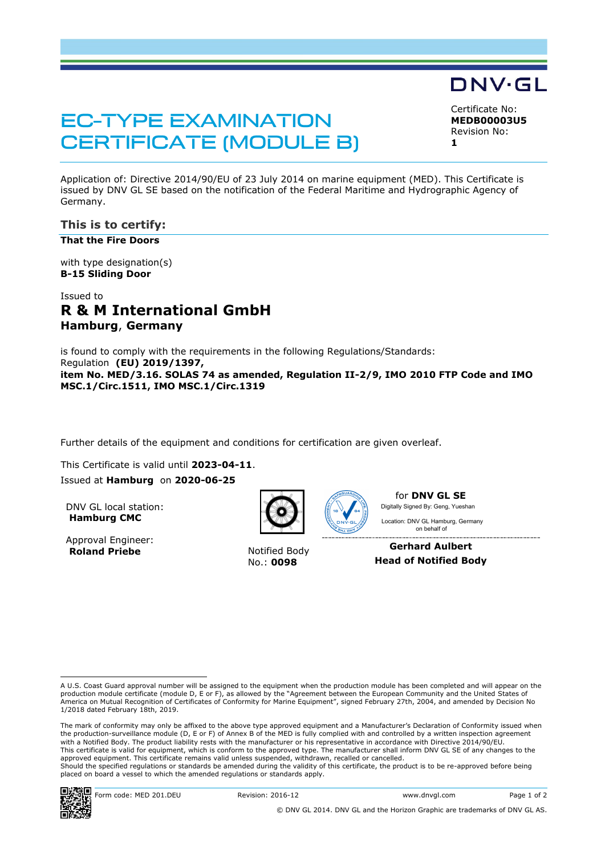# **EC-TYPE EXAMINATION CERTIFICATE (MODULE B)**

Certificate No:

DNV·GL

**MEDB00003U5** Revision No: **1**

Application of: Directive 2014/90/EU of 23 July 2014 on marine equipment (MED). This Certificate is issued by DNV GL SE based on the notification of the Federal Maritime and Hydrographic Agency of Germany.

## **This is to certify:**

**That the Fire Doors**

with type designation(s) **B-15 Sliding Door**

# Issued to **R & M International GmbH Hamburg**, **Germany**

is found to comply with the requirements in the following Regulations/Standards: Regulation **(EU) 2019/1397, item No. MED/3.16. SOLAS 74 as amended, Regulation II-2/9, IMO 2010 FTP Code and IMO MSC.1/Circ.1511, IMO MSC.1/Circ.1319**

Further details of the equipment and conditions for certification are given overleaf.

This Certificate is valid until **2023-04-11**.

Issued at **Hamburg** on **2020-06-25**

DNV GL local station: **Hamburg CMC**

Approval Engineer: **Roland Priebe** Notified Body



No.: **0098**



for **DNV GL SE** Digitally Signed By: Geng, Yueshan

 on behalf ofLocation: DNV GL Hamburg, Germany

**Gerhard Aulbert Head of Notified Body**

The mark of conformity may only be affixed to the above type approved equipment and a Manufacturer's Declaration of Conformity issued when the production-surveillance module (D, E or F) of Annex B of the MED is fully complied with and controlled by a written inspection agreement with a Notified Body. The product liability rests with the manufacturer or his representative in accordance with Directive 2014/90/EU. This certificate is valid for equipment, which is conform to the approved type. The manufacturer shall inform DNV GL SE of any changes to the approved equipment. This certificate remains valid unless suspended, withdrawn, recalled or cancelled. Should the specified regulations or standards be amended during the validity of this certificate, the product is to be re-approved before being placed on board a vessel to which the amended regulations or standards apply.



A U.S. Coast Guard approval number will be assigned to the equipment when the production module has been completed and will appear on the production module certificate (module D, E or F), as allowed by the "Agreement between the European Community and the United States of<br>America on Mutual Recognition of Certificates of Conformity for Marine Equipment", sign 1/2018 dated February 18th, 2019.